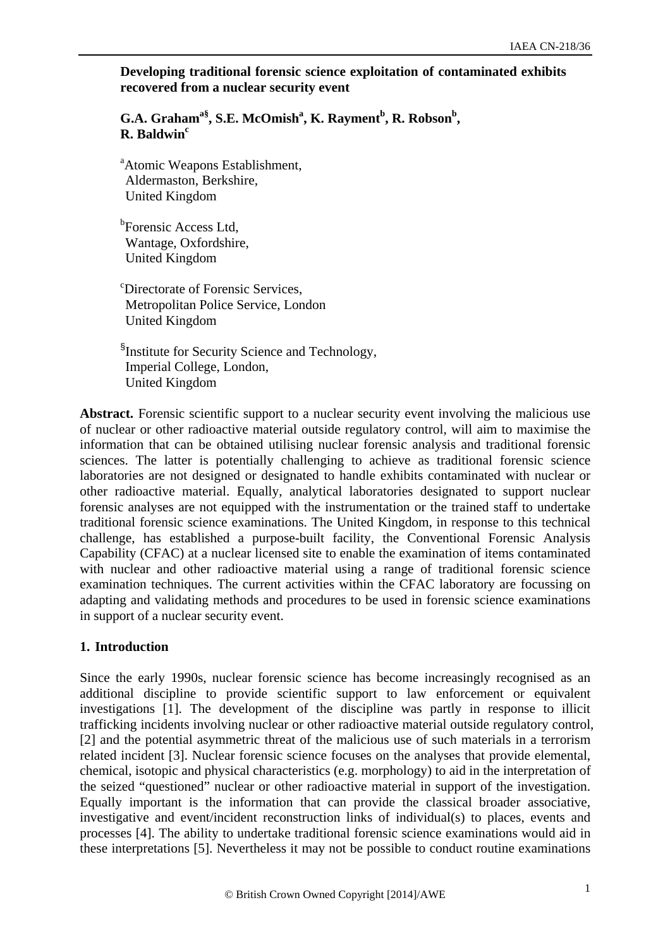### **Developing traditional forensic science exploitation of contaminated exhibits recovered from a nuclear security event**

G.A. Graham<sup>a§</sup>, S.E. McOmish<sup>a</sup>, K. Rayment<sup>b</sup>, R. Robson<sup>b</sup>, **R. Baldwinc**

<sup>a</sup> Atomic Weapons Establishment, Aldermaston, Berkshire, United Kingdom

<sup>b</sup>Forensic Access Ltd, Wantage, Oxfordshire, United Kingdom

c Directorate of Forensic Services, Metropolitan Police Service, London United Kingdom

<sup>§</sup>Institute for Security Science and Technology, Imperial College, London, United Kingdom

**Abstract.** Forensic scientific support to a nuclear security event involving the malicious use of nuclear or other radioactive material outside regulatory control, will aim to maximise the information that can be obtained utilising nuclear forensic analysis and traditional forensic sciences. The latter is potentially challenging to achieve as traditional forensic science laboratories are not designed or designated to handle exhibits contaminated with nuclear or other radioactive material. Equally, analytical laboratories designated to support nuclear forensic analyses are not equipped with the instrumentation or the trained staff to undertake traditional forensic science examinations. The United Kingdom, in response to this technical challenge, has established a purpose-built facility, the Conventional Forensic Analysis Capability (CFAC) at a nuclear licensed site to enable the examination of items contaminated with nuclear and other radioactive material using a range of traditional forensic science examination techniques. The current activities within the CFAC laboratory are focussing on adapting and validating methods and procedures to be used in forensic science examinations in support of a nuclear security event.

# **1. Introduction**

Since the early 1990s, nuclear forensic science has become increasingly recognised as an additional discipline to provide scientific support to law enforcement or equivalent investigations [1]. The development of the discipline was partly in response to illicit trafficking incidents involving nuclear or other radioactive material outside regulatory control, [2] and the potential asymmetric threat of the malicious use of such materials in a terrorism related incident [3]. Nuclear forensic science focuses on the analyses that provide elemental, chemical, isotopic and physical characteristics (e.g. morphology) to aid in the interpretation of the seized "questioned" nuclear or other radioactive material in support of the investigation. Equally important is the information that can provide the classical broader associative, investigative and event/incident reconstruction links of individual(s) to places, events and processes [4]. The ability to undertake traditional forensic science examinations would aid in these interpretations [5]. Nevertheless it may not be possible to conduct routine examinations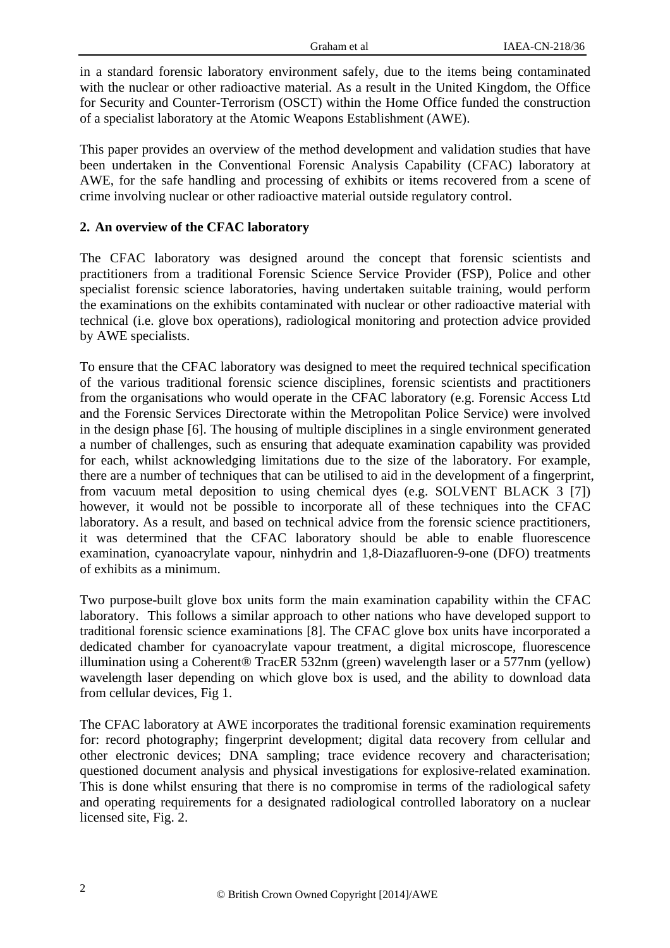in a standard forensic laboratory environment safely, due to the items being contaminated with the nuclear or other radioactive material. As a result in the United Kingdom, the Office for Security and Counter-Terrorism (OSCT) within the Home Office funded the construction of a specialist laboratory at the Atomic Weapons Establishment (AWE).

This paper provides an overview of the method development and validation studies that have been undertaken in the Conventional Forensic Analysis Capability (CFAC) laboratory at AWE, for the safe handling and processing of exhibits or items recovered from a scene of crime involving nuclear or other radioactive material outside regulatory control.

## **2. An overview of the CFAC laboratory**

The CFAC laboratory was designed around the concept that forensic scientists and practitioners from a traditional Forensic Science Service Provider (FSP), Police and other specialist forensic science laboratories, having undertaken suitable training, would perform the examinations on the exhibits contaminated with nuclear or other radioactive material with technical (i.e. glove box operations), radiological monitoring and protection advice provided by AWE specialists.

To ensure that the CFAC laboratory was designed to meet the required technical specification of the various traditional forensic science disciplines, forensic scientists and practitioners from the organisations who would operate in the CFAC laboratory (e.g. Forensic Access Ltd and the Forensic Services Directorate within the Metropolitan Police Service) were involved in the design phase [6]. The housing of multiple disciplines in a single environment generated a number of challenges, such as ensuring that adequate examination capability was provided for each, whilst acknowledging limitations due to the size of the laboratory. For example, there are a number of techniques that can be utilised to aid in the development of a fingerprint, from vacuum metal deposition to using chemical dyes (e.g. SOLVENT BLACK 3 [7]) however, it would not be possible to incorporate all of these techniques into the CFAC laboratory. As a result, and based on technical advice from the forensic science practitioners, it was determined that the CFAC laboratory should be able to enable fluorescence examination, cyanoacrylate vapour, ninhydrin and 1,8-Diazafluoren-9-one (DFO) treatments of exhibits as a minimum.

Two purpose-built glove box units form the main examination capability within the CFAC laboratory. This follows a similar approach to other nations who have developed support to traditional forensic science examinations [8]. The CFAC glove box units have incorporated a dedicated chamber for cyanoacrylate vapour treatment, a digital microscope, fluorescence illumination using a Coherent® TracER 532nm (green) wavelength laser or a 577nm (yellow) wavelength laser depending on which glove box is used, and the ability to download data from cellular devices, Fig 1.

The CFAC laboratory at AWE incorporates the traditional forensic examination requirements for: record photography; fingerprint development; digital data recovery from cellular and other electronic devices; DNA sampling; trace evidence recovery and characterisation; questioned document analysis and physical investigations for explosive-related examination. This is done whilst ensuring that there is no compromise in terms of the radiological safety and operating requirements for a designated radiological controlled laboratory on a nuclear licensed site, Fig. 2.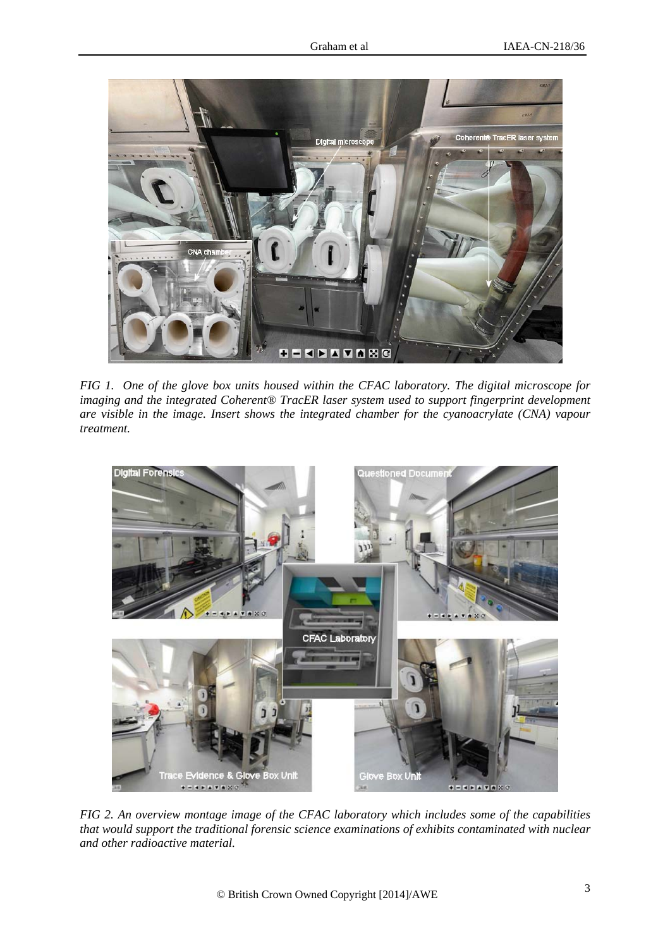

*FIG 1. One of the glove box units housed within the CFAC laboratory. The digital microscope for imaging and the integrated Coherent® TracER laser system used to support fingerprint development are visible in the image. Insert shows the integrated chamber for the cyanoacrylate (CNA) vapour treatment.* 



*FIG 2. An overview montage image of the CFAC laboratory which includes some of the capabilities that would support the traditional forensic science examinations of exhibits contaminated with nuclear and other radioactive material.*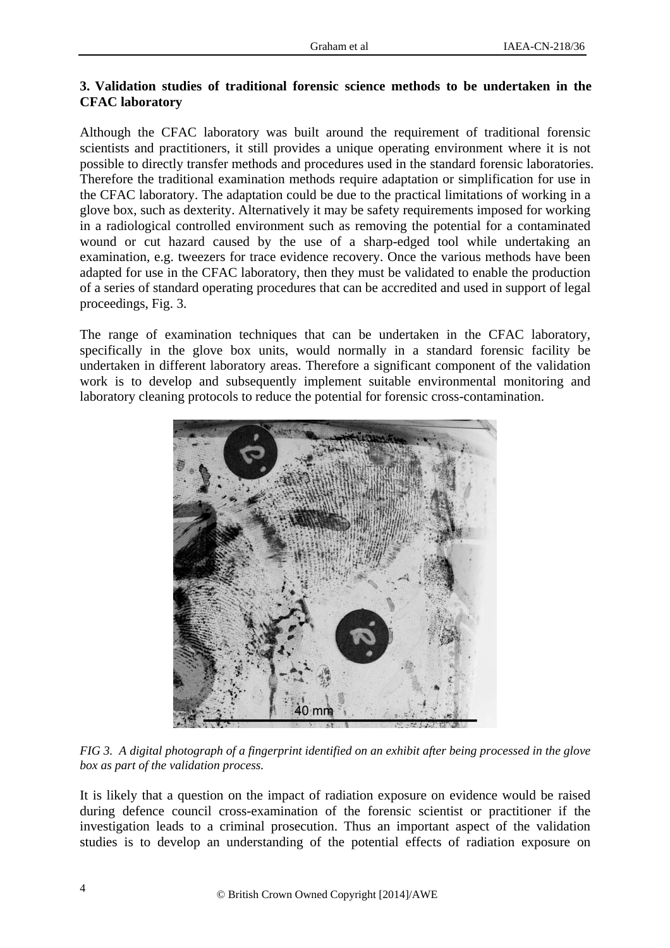## **3. Validation studies of traditional forensic science methods to be undertaken in the CFAC laboratory**

Although the CFAC laboratory was built around the requirement of traditional forensic scientists and practitioners, it still provides a unique operating environment where it is not possible to directly transfer methods and procedures used in the standard forensic laboratories. Therefore the traditional examination methods require adaptation or simplification for use in the CFAC laboratory. The adaptation could be due to the practical limitations of working in a glove box, such as dexterity. Alternatively it may be safety requirements imposed for working in a radiological controlled environment such as removing the potential for a contaminated wound or cut hazard caused by the use of a sharp-edged tool while undertaking an examination, e.g. tweezers for trace evidence recovery. Once the various methods have been adapted for use in the CFAC laboratory, then they must be validated to enable the production of a series of standard operating procedures that can be accredited and used in support of legal proceedings, Fig. 3.

The range of examination techniques that can be undertaken in the CFAC laboratory, specifically in the glove box units, would normally in a standard forensic facility be undertaken in different laboratory areas. Therefore a significant component of the validation work is to develop and subsequently implement suitable environmental monitoring and laboratory cleaning protocols to reduce the potential for forensic cross-contamination.



*FIG 3. A digital photograph of a fingerprint identified on an exhibit after being processed in the glove box as part of the validation process.* 

It is likely that a question on the impact of radiation exposure on evidence would be raised during defence council cross-examination of the forensic scientist or practitioner if the investigation leads to a criminal prosecution. Thus an important aspect of the validation studies is to develop an understanding of the potential effects of radiation exposure on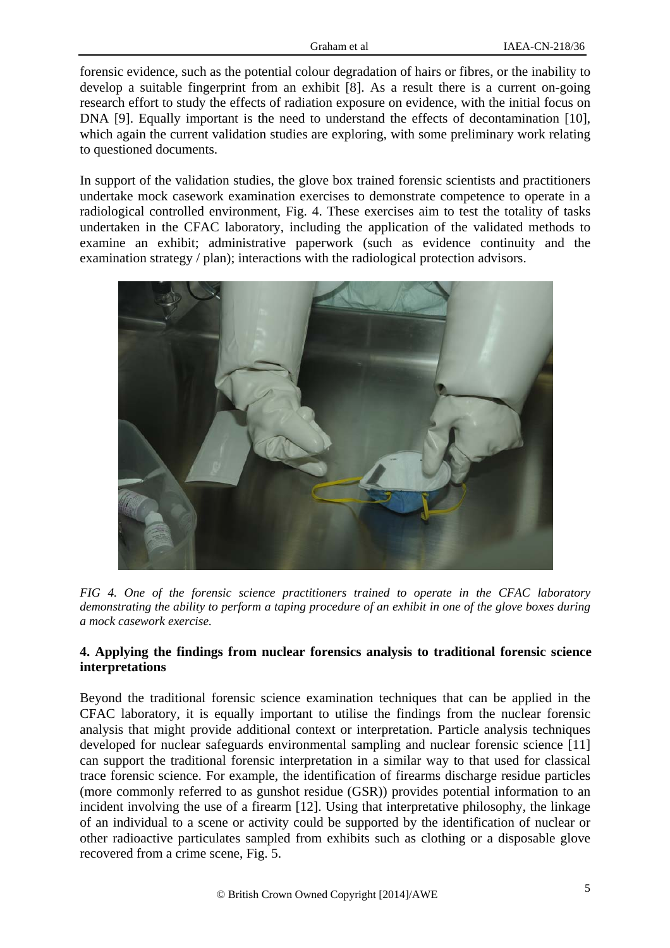forensic evidence, such as the potential colour degradation of hairs or fibres, or the inability to develop a suitable fingerprint from an exhibit [8]. As a result there is a current on-going research effort to study the effects of radiation exposure on evidence, with the initial focus on DNA [9]. Equally important is the need to understand the effects of decontamination [10], which again the current validation studies are exploring, with some preliminary work relating to questioned documents.

In support of the validation studies, the glove box trained forensic scientists and practitioners undertake mock casework examination exercises to demonstrate competence to operate in a radiological controlled environment, Fig. 4. These exercises aim to test the totality of tasks undertaken in the CFAC laboratory, including the application of the validated methods to examine an exhibit; administrative paperwork (such as evidence continuity and the examination strategy / plan); interactions with the radiological protection advisors.



*FIG 4. One of the forensic science practitioners trained to operate in the CFAC laboratory demonstrating the ability to perform a taping procedure of an exhibit in one of the glove boxes during a mock casework exercise.* 

## **4. Applying the findings from nuclear forensics analysis to traditional forensic science interpretations**

Beyond the traditional forensic science examination techniques that can be applied in the CFAC laboratory, it is equally important to utilise the findings from the nuclear forensic analysis that might provide additional context or interpretation. Particle analysis techniques developed for nuclear safeguards environmental sampling and nuclear forensic science [11] can support the traditional forensic interpretation in a similar way to that used for classical trace forensic science. For example, the identification of firearms discharge residue particles (more commonly referred to as gunshot residue (GSR)) provides potential information to an incident involving the use of a firearm [12]. Using that interpretative philosophy, the linkage of an individual to a scene or activity could be supported by the identification of nuclear or other radioactive particulates sampled from exhibits such as clothing or a disposable glove recovered from a crime scene, Fig. 5.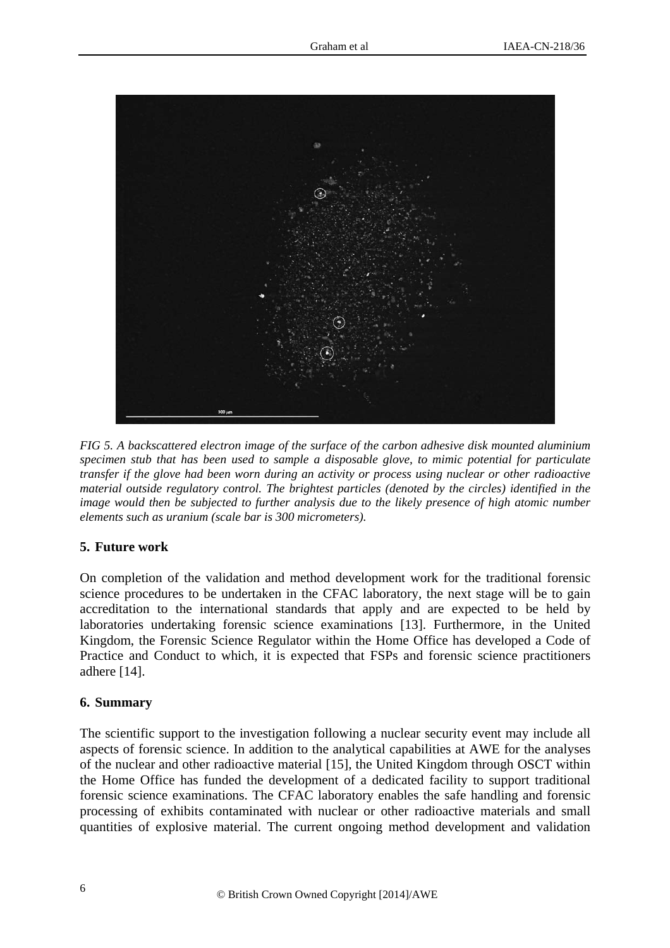

*FIG 5. A backscattered electron image of the surface of the carbon adhesive disk mounted aluminium specimen stub that has been used to sample a disposable glove, to mimic potential for particulate transfer if the glove had been worn during an activity or process using nuclear or other radioactive material outside regulatory control. The brightest particles (denoted by the circles) identified in the image would then be subjected to further analysis due to the likely presence of high atomic number elements such as uranium (scale bar is 300 micrometers).* 

### **5. Future work**

On completion of the validation and method development work for the traditional forensic science procedures to be undertaken in the CFAC laboratory, the next stage will be to gain accreditation to the international standards that apply and are expected to be held by laboratories undertaking forensic science examinations [13]. Furthermore, in the United Kingdom, the Forensic Science Regulator within the Home Office has developed a Code of Practice and Conduct to which, it is expected that FSPs and forensic science practitioners adhere [14].

#### **6. Summary**

The scientific support to the investigation following a nuclear security event may include all aspects of forensic science. In addition to the analytical capabilities at AWE for the analyses of the nuclear and other radioactive material [15], the United Kingdom through OSCT within the Home Office has funded the development of a dedicated facility to support traditional forensic science examinations. The CFAC laboratory enables the safe handling and forensic processing of exhibits contaminated with nuclear or other radioactive materials and small quantities of explosive material. The current ongoing method development and validation